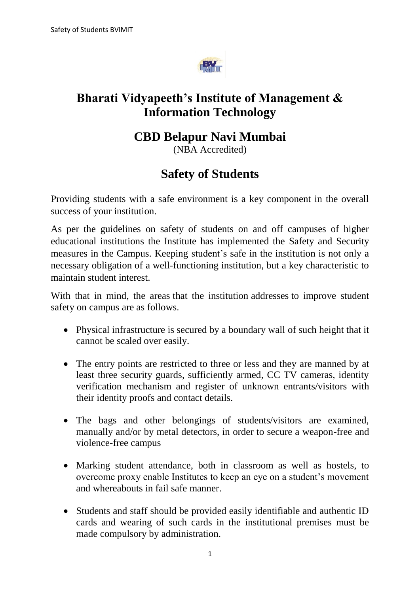

## **Bharati Vidyapeeth's Institute of Management & Information Technology**

## **CBD Belapur Navi Mumbai**

(NBA Accredited)

## **Safety of Students**

Providing students with a safe environment is a key component in the overall success of your institution.

As per the guidelines on safety of students on and off campuses of higher educational institutions the Institute has implemented the Safety and Security measures in the Campus. Keeping student's safe in the institution is not only a necessary obligation of a well-functioning institution, but a key characteristic to maintain student interest.

With that in mind, the areas that the institution addresses to improve student safety on campus are as follows.

- Physical infrastructure is secured by a boundary wall of such height that it cannot be scaled over easily.
- The entry points are restricted to three or less and they are manned by at least three security guards, sufficiently armed, CC TV cameras, identity verification mechanism and register of unknown entrants/visitors with their identity proofs and contact details.
- The bags and other belongings of students/visitors are examined, manually and/or by metal detectors, in order to secure a weapon-free and violence-free campus
- Marking student attendance, both in classroom as well as hostels, to overcome proxy enable Institutes to keep an eye on a student's movement and whereabouts in fail safe manner.
- Students and staff should be provided easily identifiable and authentic ID cards and wearing of such cards in the institutional premises must be made compulsory by administration.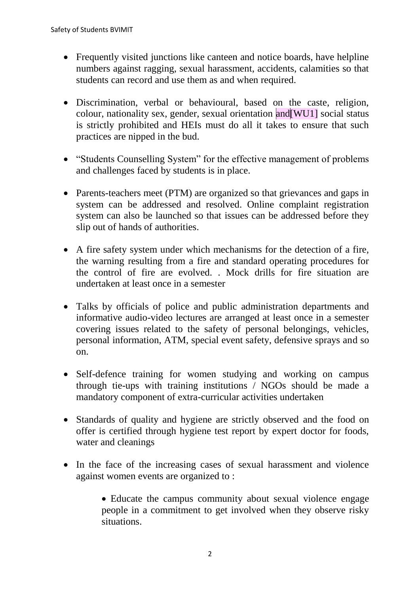- Frequently visited junctions like canteen and notice boards, have helpline numbers against ragging, sexual harassment, accidents, calamities so that students can record and use them as and when required.
- Discrimination, verbal or behavioural, based on the caste, religion, colour, nationality sex, gender, sexual orientation and[WU1] social status is strictly prohibited and HEIs must do all it takes to ensure that such practices are nipped in the bud.
- "Students Counselling System" for the effective management of problems and challenges faced by students is in place.
- Parents-teachers meet (PTM) are organized so that grievances and gaps in system can be addressed and resolved. Online complaint registration system can also be launched so that issues can be addressed before they slip out of hands of authorities.
- A fire safety system under which mechanisms for the detection of a fire, the warning resulting from a fire and standard operating procedures for the control of fire are evolved. . Mock drills for fire situation are undertaken at least once in a semester
- Talks by officials of police and public administration departments and informative audio-video lectures are arranged at least once in a semester covering issues related to the safety of personal belongings, vehicles, personal information, ATM, special event safety, defensive sprays and so on.
- Self-defence training for women studying and working on campus through tie-ups with training institutions / NGOs should be made a mandatory component of extra-curricular activities undertaken
- Standards of quality and hygiene are strictly observed and the food on offer is certified through hygiene test report by expert doctor for foods, water and cleanings
- In the face of the increasing cases of sexual harassment and violence against women events are organized to :

 Educate the campus community about sexual violence engage people in a commitment to get involved when they observe risky situations.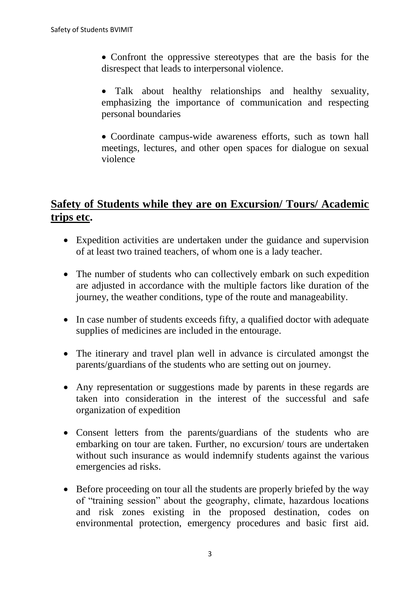- Confront the oppressive stereotypes that are the basis for the disrespect that leads to interpersonal violence.
- Talk about healthy relationships and healthy sexuality, emphasizing the importance of communication and respecting personal boundaries
- Coordinate campus-wide awareness efforts, such as town hall meetings, lectures, and other open spaces for dialogue on sexual violence

## **Safety of Students while they are on Excursion/ Tours/ Academic trips etc.**

- Expedition activities are undertaken under the guidance and supervision of at least two trained teachers, of whom one is a lady teacher.
- The number of students who can collectively embark on such expedition are adjusted in accordance with the multiple factors like duration of the journey, the weather conditions, type of the route and manageability.
- In case number of students exceeds fifty, a qualified doctor with adequate supplies of medicines are included in the entourage.
- The itinerary and travel plan well in advance is circulated amongst the parents/guardians of the students who are setting out on journey.
- Any representation or suggestions made by parents in these regards are taken into consideration in the interest of the successful and safe organization of expedition
- Consent letters from the parents/guardians of the students who are embarking on tour are taken. Further, no excursion/ tours are undertaken without such insurance as would indemnify students against the various emergencies ad risks.
- Before proceeding on tour all the students are properly briefed by the way of "training session" about the geography, climate, hazardous locations and risk zones existing in the proposed destination, codes on environmental protection, emergency procedures and basic first aid.